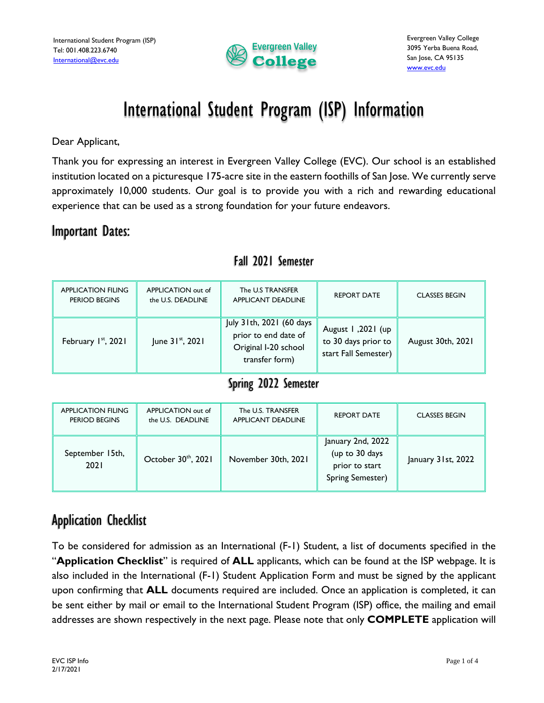

# International Student Program (ISP) Information

Dear Applicant,

Thank you for expressing an interest in Evergreen Valley College (EVC). Our school is an established institution located on a picturesque 175-acre site in the eastern foothills of San Jose. We currently serve approximately 10,000 students. Our goal is to provide you with a rich and rewarding educational experience that can be used as a strong foundation for your future endeavors.

### Important Dates:

| APPLICATION FILING<br>PERIOD BEGINS | APPLICATION out of<br>the U.S. DEADLINE | The U.S TRANSFER<br>APPLICANT DEADLINE                                                     | <b>REPORT DATE</b>                                               | <b>CLASSES BEGIN</b> |
|-------------------------------------|-----------------------------------------|--------------------------------------------------------------------------------------------|------------------------------------------------------------------|----------------------|
| February 1st, 2021                  | June $31^{st}$ , 2021                   | July 31th, 2021 (60 days<br>prior to end date of<br>Original I-20 school<br>transfer form) | August 1,2021 (up<br>to 30 days prior to<br>start Fall Semester) | August 30th, 2021    |

### Fall 2021 Semester

### Spring 2022 Semester

| APPLICATION FILING<br>PERIOD BEGINS | APPLICATION out of<br>the U.S. DEADLINE | The U.S. TRANSFER<br><b>APPLICANT DEADLINE</b> | <b>REPORT DATE</b>                                                        | <b>CLASSES BEGIN</b> |
|-------------------------------------|-----------------------------------------|------------------------------------------------|---------------------------------------------------------------------------|----------------------|
| September 15th,<br>2021             | October 30th, 2021                      | November 30th, 2021                            | January 2nd, 2022<br>(up to 30 days<br>prior to start<br>Spring Semester) | January 31st, 2022   |

# Application Checklist

To be considered for admission as an International (F-1) Student, a list of documents specified in the "**Application Checklist**" is required of **ALL** applicants, which can be found at the ISP webpage. It is also included in the International (F-1) Student Application Form and must be signed by the applicant upon confirming that **ALL** documents required are included. Once an application is completed, it can be sent either by mail or email to the International Student Program (ISP) office, the mailing and email addresses are shown respectively in the next page. Please note that only **COMPLETE** application will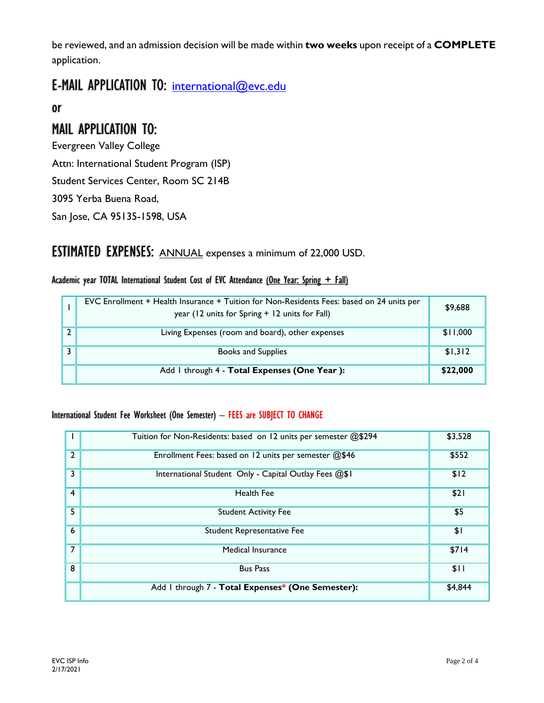be reviewed, and an admission decision will be made within **two weeks** upon receipt of a **COMPLETE** application.

# E-MAIL APPLICATION TO: [international@evc.edu](mailto:international@evc.edu)

or

# MAIL APPLICATION TO:

Evergreen Valley College Attn: International Student Program (ISP) Student Services Center, Room SC 214B

3095 Yerba Buena Road,

San Jose, CA 95135-1598, USA

## ESTIMATED EXPENSES: ANNUAL expenses a minimum of 22,000 USD.

#### Academic year TOTAL International Student Cost of EVC Attendance (One Year: Spring  $+$  Fall)

|   | EVC Enrollment + Health Insurance + Tuition for Non-Residents Fees: based on 24 units per<br>year (12 units for Spring + 12 units for Fall) | \$9,688  |
|---|---------------------------------------------------------------------------------------------------------------------------------------------|----------|
|   | Living Expenses (room and board), other expenses                                                                                            | \$11,000 |
| ∍ | <b>Books and Supplies</b>                                                                                                                   | \$1,312  |
|   | Add I through 4 - Total Expenses (One Year):                                                                                                | \$22,000 |

#### International Student Fee Worksheet (One Semester) – FEES are SUBJECT TO CHANGE

|                | Tuition for Non-Residents: based on 12 units per semester @\$294 | \$3,528 |
|----------------|------------------------------------------------------------------|---------|
| $\overline{2}$ | Enrollment Fees: based on 12 units per semester @\$46            | \$552   |
| 3              | International Student Only - Capital Outlay Fees @\$1            | \$12    |
| 4              | Health Fee                                                       | \$21    |
| 5              | <b>Student Activity Fee</b>                                      | \$5     |
| 6              | Student Representative Fee                                       | \$1     |
| 7              | Medical Insurance                                                | \$714   |
| 8              | <b>Bus Pass</b>                                                  | \$11    |
|                | Add I through 7 - Total Expenses* (One Semester):                | \$4,844 |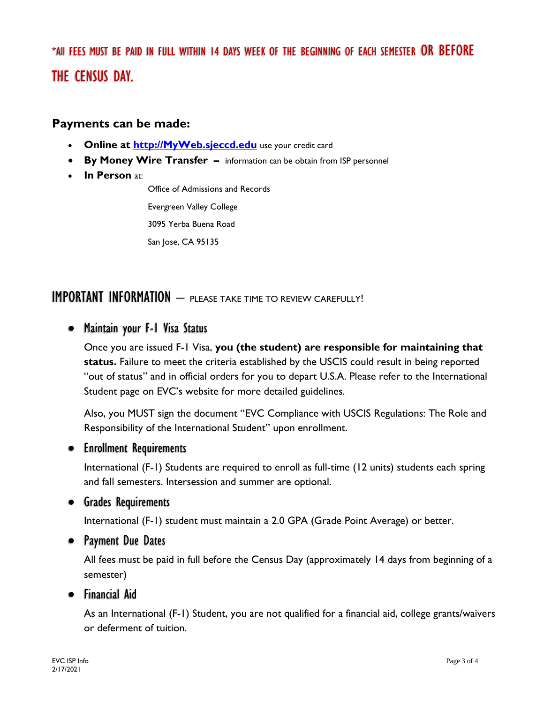\*All FEES MUST BE PAID IN FULL WITHIN 14 DAYS WEEK OF THE BEGINNING OF EACH SEMESTER OR BEFORE THE CENSUS DAY.

#### **Payments can be made:**

- **Online at [http://MyWeb.sjeccd.edu](http://myweb.sjeccd.edu/)** use your credit card
- **By Money Wire Transfer –** information can be obtain from ISP personnel
- **In Person** at:

Office of Admissions and Records

Evergreen Valley College

3095 Yerba Buena Road

San Jose, CA 95135

### IMPORTANT INFORMATION – PLEASE TAKE TIME TO REVIEW CAREFULLY!

#### • Maintain your F-1 Visa Status

Once you are issued F-1 Visa, **you (the student) are responsible for maintaining that status.** Failure to meet the criteria established by the USCIS could result in being reported "out of status" and in official orders for you to depart U.S.A. Please refer to the International Student page on EVC's website for more detailed guidelines.

Also, you MUST sign the document "EVC Compliance with USCIS Regulations: The Role and Responsibility of the International Student" upon enrollment.

#### • Enrollment Requirements

International (F-1) Students are required to enroll as full-time (12 units) students each spring and fall semesters. Intersession and summer are optional.

#### • Grades Requirements

International (F-1) student must maintain a 2.0 GPA (Grade Point Average) or better.

#### • Payment Due Dates

All fees must be paid in full before the Census Day (approximately 14 days from beginning of a semester)

#### • Financial Aid

As an International (F-1) Student, you are not qualified for a financial aid, college grants/waivers or deferment of tuition.